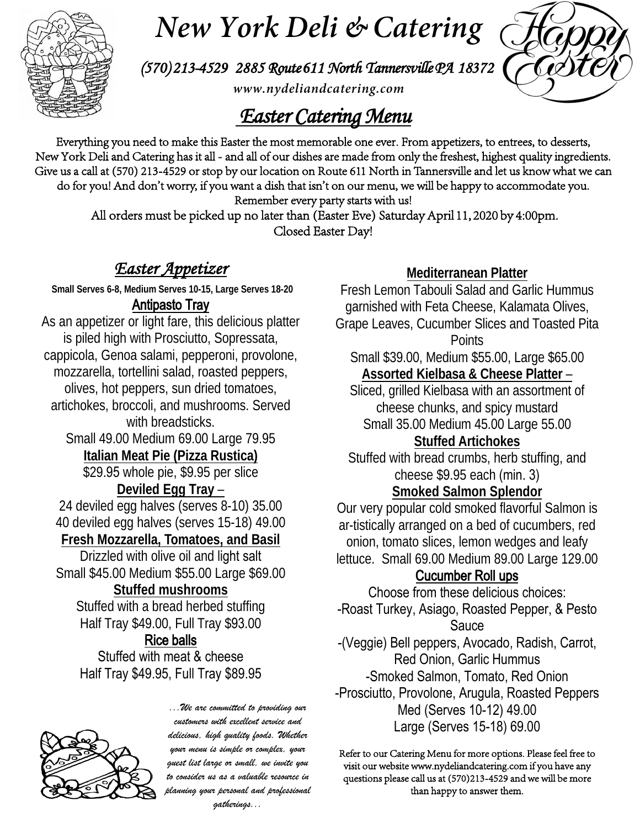

# *New York Deli & Catering*

*(570) 213-4529 2885 Route 611 North Tannersville PA 18372*

*www.nydeliandcatering.com*

## *Easter Catering Menu*

Everything you need to make this Easter the most memorable one ever. From appetizers, to entrees, to desserts, New York Deli and Catering has it all - and all of our dishes are made from only the freshest, highest quality ingredients. Give us a call at (570) 213-4529 or stop by our location on Route 611 North in Tannersville and let us know what we can do for you! And don't worry, if you want a dish that isn't on our menu, we will be happy to accommodate you.

Remember every party starts with us!

 All orders must be picked up no later than (Easter Eve) Saturday April 11, 2020 by 4:00pm. Closed Easter Day!

## *Easter Appetizer*

**Small Serves 6-8, Medium Serves 10-15, Large Serves 18-20**

#### Antipasto Tray

As an appetizer or light fare, this delicious platter is piled high with Prosciutto, Sopressata, cappicola, Genoa salami, pepperoni, provolone, mozzarella, tortellini salad, roasted peppers, olives, hot peppers, sun dried tomatoes, artichokes, broccoli, and mushrooms. Served with breadsticks. Small 49.00 Medium 69.00 Large 79.95 **Italian Meat Pie (Pizza Rustica)** \$29.95 whole pie, \$9.95 per slice **Deviled Egg Tray** – 24 deviled egg halves (serves 8-10) 35.00 40 deviled egg halves (serves 15-18) 49.00 **Fresh Mozzarella, Tomatoes, and Basil** Drizzled with olive oil and light salt Small \$45.00 Medium \$55.00 Large \$69.00 **Stuffed mushrooms** Stuffed with a bread herbed stuffing Half Tray \$49.00, Full Tray \$93.00 Rice balls

Stuffed with meat & cheese Half Tray \$49.95, Full Tray \$89.95



*...We are committed to providing our customers with excellent service and delicious, high quality foods. Whether your menu is simple or complex, your guest list large or small, we invite you to consider us as a valuable resource in planning your personal and professional gatherings...*

#### **Mediterranean Platter**

Fresh Lemon Tabouli Salad and Garlic Hummus garnished with Feta Cheese, Kalamata Olives, Grape Leaves, Cucumber Slices and Toasted Pita **Points** 

Small \$39.00, Medium \$55.00, Large \$65.00 **Assorted Kielbasa & Cheese Platter** –

Sliced, grilled Kielbasa with an assortment of cheese chunks, and spicy mustard Small 35.00 Medium 45.00 Large 55.00

## **Stuffed Artichokes**

Stuffed with bread crumbs, herb stuffing, and cheese \$9.95 each (min. 3)

#### **Smoked Salmon Splendor**

Our very popular cold smoked flavorful Salmon is ar-tistically arranged on a bed of cucumbers, red onion, tomato slices, lemon wedges and leafy lettuce. Small 69.00 Medium 89.00 Large 129.00

#### Cucumber Roll ups

Choose from these delicious choices: -Roast Turkey, Asiago, Roasted Pepper, & Pesto Sauce -(Veggie) Bell peppers, Avocado, Radish, Carrot, Red Onion, Garlic Hummus -Smoked Salmon, Tomato, Red Onion -Prosciutto, Provolone, Arugula, Roasted Peppers Med (Serves 10-12) 49.00 Large (Serves 15-18) 69.00

Refer to our Catering Menu for more options. Please feel free to visit our website www.nydeliandcatering.com if you have any questions please call us at (570)213-4529 and we will be more than happy to answer them.